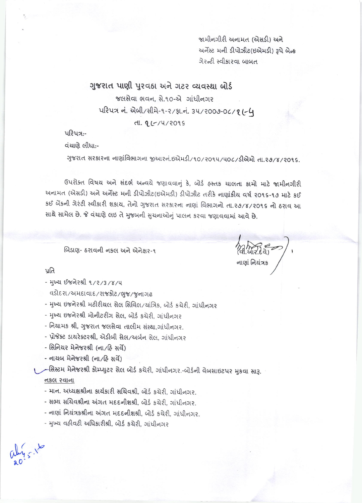જામીનગીરી અનામત (એસડી) અને અર્નેસ્ટ મની ડીપોઝીટ(ઇએમડી) રૂપે બેન્ક ગેરન્ટી સ્વીકારવા બાબત

નાણાં નિયંત્રક

# ગુજરાત પાણી પુરવઠા અને ગટર વ્યવસ્થા બોર્ડ

જલસેવા ભવન, સે.૧૦-એ ગાંધીનગર ukux नं. એબી/સીમે-૧-૨/ફા.નં. 34/2009-06/21-4

dl. 9 (-/4/2095)

પરિપત્ર:-

વંચાણે લીધાઃ-

ગુજરાત સરકારના નાણાંવિભાગના જીઆરનં.ઇએમડી/૧૦/૨૦૧૫/૫૦૮/ડીએમો તા.૨૭/૪/૨૦૧૬.

ઉપરોક્ત વિષય અને સંદર્ભ અન્વયે જણાવવાનું કે, બોર્ડ હસ્તક ચાલતા કામો માટે જામીનગીરી અનામત (એસડી) અને અર્નેસ્ટ મની ડીપોઝીટ(ઇએમડી) ડીપોઝીટ તરીકે નાણાંકીય વર્ષ ૨૦૧૬-૧૭ માટે કઈ કઈ બેંકની ગેરંટી સ્વીકારી શકાય, તેનો ગુજરાત સરકારના નાણાં વિભાગનો તા.૨૭/૪/૨૦૧૬ નો ઠરાવ આ સાથે સામેલ છે. જે વંચાણે લઇ તે મુજબની સુચનાઓનું પાલન કરવા જણાવવામાં આવે છે.

બિડાણ- ઠરાવની નકલ અને એનેક્ષર-૧

นใล

- मुખ્ય ઈજનેરશ્રી ૧/૨/3/४/૫

વડોદરા/અમદાવાદ/રાજકોટ/ભુજ/જુનાગઢ

- મુખ્ય ઇજનેરશ્રી મટીરીયલ સેલ સિવિલ/યાંત્રિક, બોર્ડ કચેરી, ગાંધીનગર

- મુખ્ય ઇજનેરશ્રી મોનીટરીંગ સેલ, બોર્ડ કચેરી, ગાંધીનગર

- નિયામક શ્રી, ગુજરાત જલસેવા તાલીમ સંસ્થા,ગાંધીનગર.

- પ્રોજેક્ટ ડાયરેક્ટરશ્રી, એડીબી સેલ/અર્બન સેલ. ગાંધીનગર

- સિનિયર મેનેજરશ્રી (ના/હિ સર્વે)

- નાયબ મેનેજરશ્રી (ના/હિ સર્વે)

્ર–સિસ્ટમ મેનેજરશ્રી કોમ્પ્યુટર સેલ બોર્ડ કચેરી, ગાંધીનગર.-બોર્ડની વેબસાઇટપર મુકવા સારૂ.

### નકલ રવાના

- માન. અધ્યક્ષશ્રીના કાર્યકારી સચિવશ્રી, બોર્ડ કચેરી, ગાંધીનગર.

- સભ્ય સચિવશ્રીના અંગત મદદનીશશ્રી, બોર્ડ કચેરી, ગાંધીનગર.

- નાણાં નિયંત્રકશ્રીના અંગત મદદનીશશ્રી, બોર્ડ કચેરી, ગાંધીનગર.

- મુખ્ય વહીવટી અધિકારીશ્રી, બોર્ડ કચેરી, ગાંધીનગર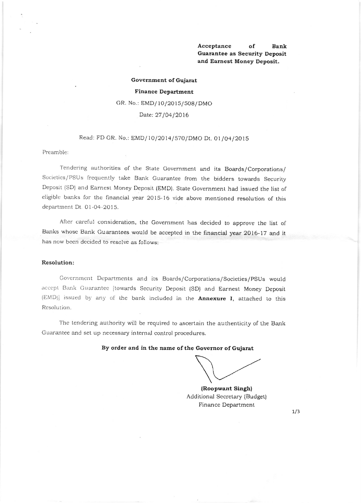### Acceptance of Bank Guarantee as Security Deposit and Earnest Money Deposit.

#### Government of Gujarat

#### Finance Department

GR. No.: EMD/10/2015/508/DMO

Date: 27/04/2016

# Read: FD GR. No.: EMD/10/2014/570/DMO Dt. 01/04/2015

#### Preamble:

Tendering authorities of the State Government and its Boards/Corporations/ Societies/PSUs frequently take Bank Guarantee from the bidders towards Security Deposit (SD) and Earnest Money Deposit (EMD). State Government had issued the list of eligible banks for the financial year 2015-16 vide above mentioned resolution of this dcpartment Dt. 01-O4-2O 15.

After careful consideration, the Government has decided to approve the list of Banks whose Bank Guarantees would be accepted in the financial year 2016-17 and it has now been decided to resolve as follows:

### Resolution:

Government Departments and its Boards/Corporations/Societies/PSUs would accept Bank Guarantee [towards Security Deposit (SD) and Earnest Money Deposit (EMD)] issued by any of the bank included in the **Annexure I**, attached to this Resolution.

The tendering authority will be required to ascertain the authenticity of the Bank Guarantee and set up necessary internal control procedures.

# By order and in the name of the Governor of Gujarat

(Roopwant Singh) Additional Secretary (Budget) Finance Department

 $1/3$